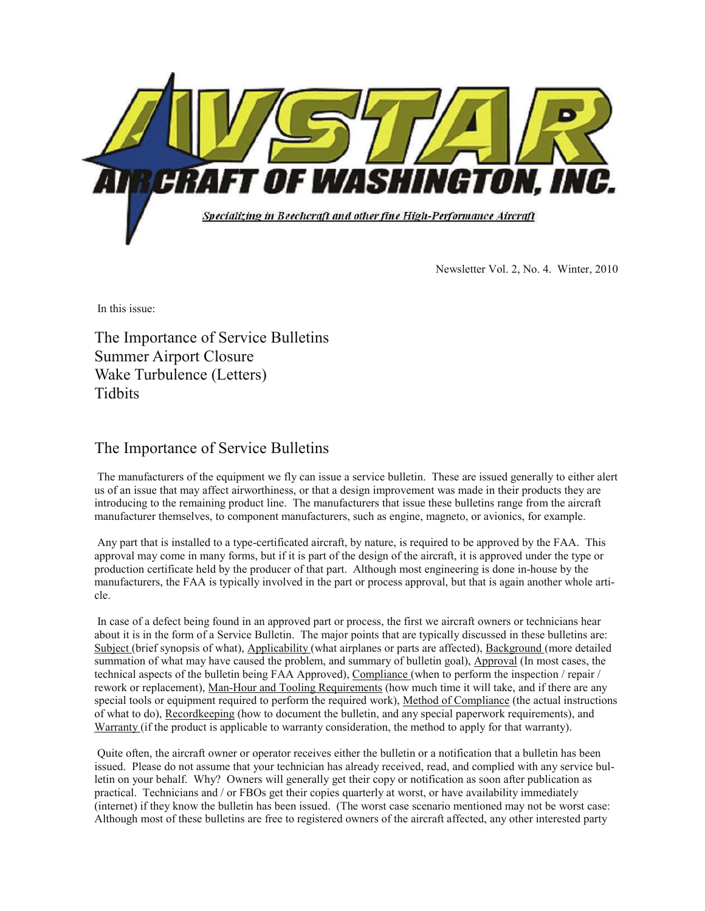

Newsletter Vol. 2, No. 4. Winter, 2010

In this issue:

The Importance of Service Bulletins Summer Airport Closure Wake Turbulence (Letters) Tidbits

## The Importance of Service Bulletins

 The manufacturers of the equipment we fly can issue a service bulletin. These are issued generally to either alert us of an issue that may affect airworthiness, or that a design improvement was made in their products they are introducing to the remaining product line. The manufacturers that issue these bulletins range from the aircraft manufacturer themselves, to component manufacturers, such as engine, magneto, or avionics, for example.

 Any part that is installed to a type-certificated aircraft, by nature, is required to be approved by the FAA. This approval may come in many forms, but if it is part of the design of the aircraft, it is approved under the type or production certificate held by the producer of that part. Although most engineering is done in-house by the manufacturers, the FAA is typically involved in the part or process approval, but that is again another whole article.

 In case of a defect being found in an approved part or process, the first we aircraft owners or technicians hear about it is in the form of a Service Bulletin. The major points that are typically discussed in these bulletins are: Subject (brief synopsis of what), Applicability (what airplanes or parts are affected), Background (more detailed summation of what may have caused the problem, and summary of bulletin goal), Approval (In most cases, the technical aspects of the bulletin being FAA Approved), Compliance (when to perform the inspection / repair / rework or replacement), Man-Hour and Tooling Requirements (how much time it will take, and if there are any special tools or equipment required to perform the required work), Method of Compliance (the actual instructions of what to do), Recordkeeping (how to document the bulletin, and any special paperwork requirements), and Warranty (if the product is applicable to warranty consideration, the method to apply for that warranty).

 Quite often, the aircraft owner or operator receives either the bulletin or a notification that a bulletin has been issued. Please do not assume that your technician has already received, read, and complied with any service bulletin on your behalf. Why? Owners will generally get their copy or notification as soon after publication as practical. Technicians and / or FBOs get their copies quarterly at worst, or have availability immediately (internet) if they know the bulletin has been issued. (The worst case scenario mentioned may not be worst case: Although most of these bulletins are free to registered owners of the aircraft affected, any other interested party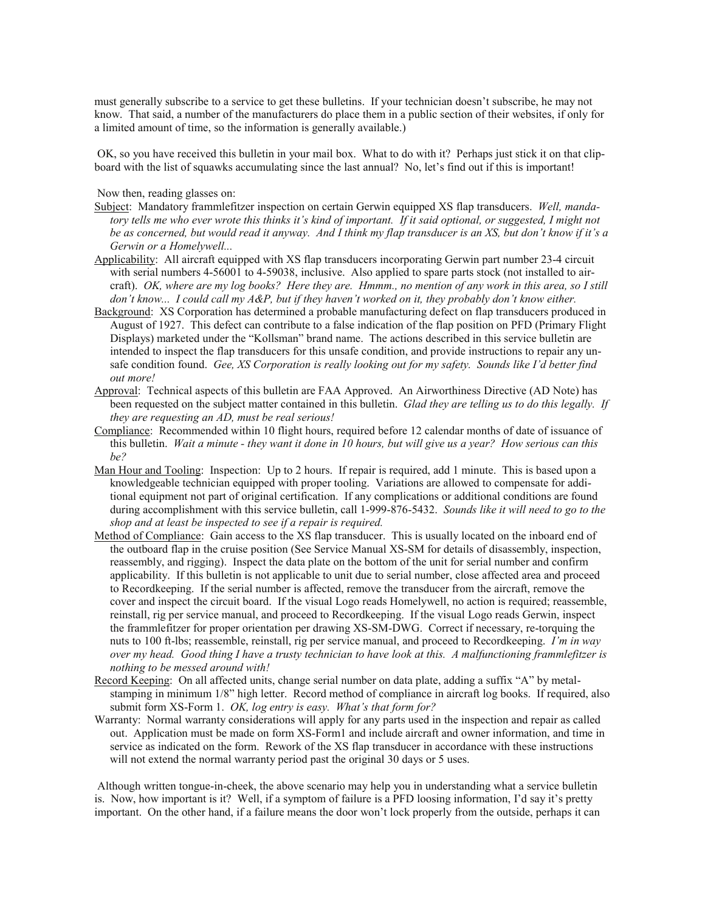must generally subscribe to a service to get these bulletins. If your technician doesn't subscribe, he may not know. That said, a number of the manufacturers do place them in a public section of their websites, if only for a limited amount of time, so the information is generally available.)

 OK, so you have received this bulletin in your mail box. What to do with it? Perhaps just stick it on that clipboard with the list of squawks accumulating since the last annual? No, let's find out if this is important!

Now then, reading glasses on:

- Subject: Mandatory frammlefitzer inspection on certain Gerwin equipped XS flap transducers. *Well, mandatory tells me who ever wrote this thinks it's kind of important. If it said optional, or suggested, I might not be as concerned, but would read it anyway. And I think my flap transducer is an XS, but don't know if it's a Gerwin or a Homelywell...*
- Applicability: All aircraft equipped with XS flap transducers incorporating Gerwin part number 23-4 circuit with serial numbers 4-56001 to 4-59038, inclusive. Also applied to spare parts stock (not installed to aircraft). *OK, where are my log books? Here they are. Hmmm., no mention of any work in this area, so I still don't know... I could call my A&P, but if they haven't worked on it, they probably don't know either.*
- Background: XS Corporation has determined a probable manufacturing defect on flap transducers produced in August of 1927. This defect can contribute to a false indication of the flap position on PFD (Primary Flight Displays) marketed under the "Kollsman" brand name. The actions described in this service bulletin are intended to inspect the flap transducers for this unsafe condition, and provide instructions to repair any unsafe condition found. *Gee, XS Corporation is really looking out for my safety. Sounds like I'd better find out more!*
- Approval: Technical aspects of this bulletin are FAA Approved. An Airworthiness Directive (AD Note) has been requested on the subject matter contained in this bulletin. *Glad they are telling us to do this legally. If they are requesting an AD, must be real serious!*
- Compliance: Recommended within 10 flight hours, required before 12 calendar months of date of issuance of this bulletin. *Wait a minute - they want it done in 10 hours, but will give us a year? How serious can this be?*
- Man Hour and Tooling: Inspection: Up to 2 hours. If repair is required, add 1 minute. This is based upon a knowledgeable technician equipped with proper tooling. Variations are allowed to compensate for additional equipment not part of original certification. If any complications or additional conditions are found during accomplishment with this service bulletin, call 1-999-876-5432. *Sounds like it will need to go to the shop and at least be inspected to see if a repair is required.*
- Method of Compliance: Gain access to the XS flap transducer. This is usually located on the inboard end of the outboard flap in the cruise position (See Service Manual XS-SM for details of disassembly, inspection, reassembly, and rigging). Inspect the data plate on the bottom of the unit for serial number and confirm applicability. If this bulletin is not applicable to unit due to serial number, close affected area and proceed to Recordkeeping. If the serial number is affected, remove the transducer from the aircraft, remove the cover and inspect the circuit board. If the visual Logo reads Homelywell, no action is required; reassemble, reinstall, rig per service manual, and proceed to Recordkeeping. If the visual Logo reads Gerwin, inspect the frammlefitzer for proper orientation per drawing XS-SM-DWG. Correct if necessary, re-torquing the nuts to 100 ft-lbs; reassemble, reinstall, rig per service manual, and proceed to Recordkeeping. *I'm in way over my head. Good thing I have a trusty technician to have look at this. A malfunctioning frammlefitzer is nothing to be messed around with!*
- Record Keeping: On all affected units, change serial number on data plate, adding a suffix "A" by metalstamping in minimum 1/8" high letter. Record method of compliance in aircraft log books. If required, also submit form XS-Form 1. *OK, log entry is easy. What's that form for?*
- Warranty: Normal warranty considerations will apply for any parts used in the inspection and repair as called out. Application must be made on form XS-Form1 and include aircraft and owner information, and time in service as indicated on the form. Rework of the XS flap transducer in accordance with these instructions will not extend the normal warranty period past the original 30 days or 5 uses.

 Although written tongue-in-cheek, the above scenario may help you in understanding what a service bulletin is. Now, how important is it? Well, if a symptom of failure is a PFD loosing information, I'd say it's pretty important. On the other hand, if a failure means the door won't lock properly from the outside, perhaps it can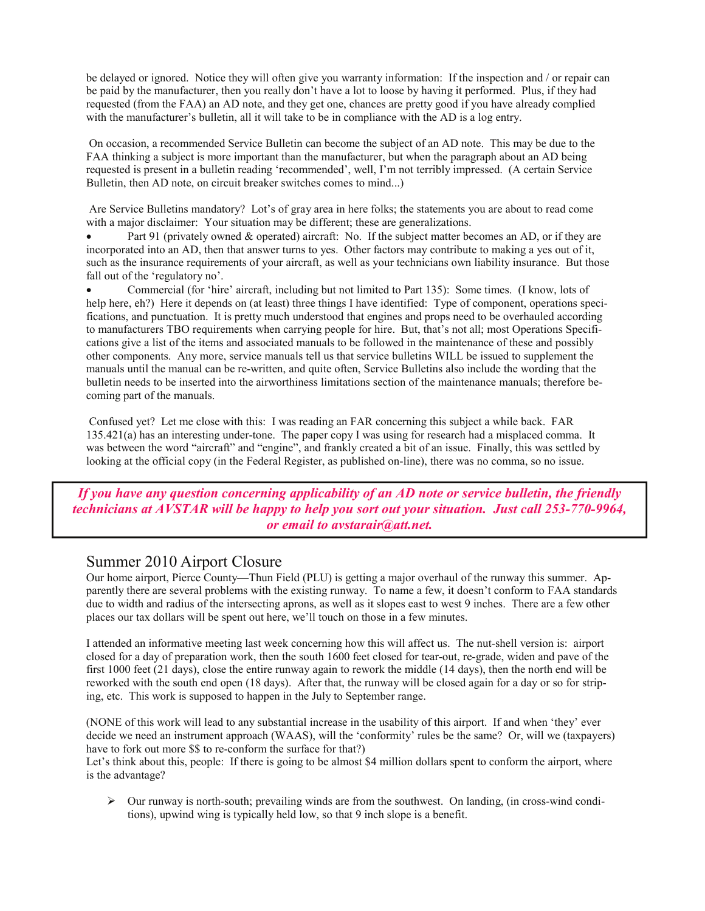be delayed or ignored. Notice they will often give you warranty information: If the inspection and / or repair can be paid by the manufacturer, then you really don't have a lot to loose by having it performed. Plus, if they had requested (from the FAA) an AD note, and they get one, chances are pretty good if you have already complied with the manufacturer's bulletin, all it will take to be in compliance with the AD is a log entry.

 On occasion, a recommended Service Bulletin can become the subject of an AD note. This may be due to the FAA thinking a subject is more important than the manufacturer, but when the paragraph about an AD being requested is present in a bulletin reading 'recommended', well, I'm not terribly impressed. (A certain Service Bulletin, then AD note, on circuit breaker switches comes to mind...)

 Are Service Bulletins mandatory? Lot's of gray area in here folks; the statements you are about to read come with a major disclaimer: Your situation may be different; these are generalizations.

• Part 91 (privately owned & operated) aircraft: No. If the subject matter becomes an AD, or if they are incorporated into an AD, then that answer turns to yes. Other factors may contribute to making a yes out of it, such as the insurance requirements of your aircraft, as well as your technicians own liability insurance. But those fall out of the 'regulatory no'.

• Commercial (for 'hire' aircraft, including but not limited to Part 135): Some times. (I know, lots of help here, eh?) Here it depends on (at least) three things I have identified: Type of component, operations specifications, and punctuation. It is pretty much understood that engines and props need to be overhauled according to manufacturers TBO requirements when carrying people for hire. But, that's not all; most Operations Specifications give a list of the items and associated manuals to be followed in the maintenance of these and possibly other components. Any more, service manuals tell us that service bulletins WILL be issued to supplement the manuals until the manual can be re-written, and quite often, Service Bulletins also include the wording that the bulletin needs to be inserted into the airworthiness limitations section of the maintenance manuals; therefore becoming part of the manuals.

 Confused yet? Let me close with this: I was reading an FAR concerning this subject a while back. FAR 135.421(a) has an interesting under-tone. The paper copy I was using for research had a misplaced comma. It was between the word "aircraft" and "engine", and frankly created a bit of an issue. Finally, this was settled by looking at the official copy (in the Federal Register, as published on-line), there was no comma, so no issue.

*If you have any question concerning applicability of an AD note or service bulletin, the friendly technicians at AVSTAR will be happy to help you sort out your situation. Just call 253-770-9964, or email to avstarair@att.net.*

## Summer 2010 Airport Closure

Our home airport, Pierce County—Thun Field (PLU) is getting a major overhaul of the runway this summer. Apparently there are several problems with the existing runway. To name a few, it doesn't conform to FAA standards due to width and radius of the intersecting aprons, as well as it slopes east to west 9 inches. There are a few other places our tax dollars will be spent out here, we'll touch on those in a few minutes.

I attended an informative meeting last week concerning how this will affect us. The nut-shell version is: airport closed for a day of preparation work, then the south 1600 feet closed for tear-out, re-grade, widen and pave of the first 1000 feet (21 days), close the entire runway again to rework the middle (14 days), then the north end will be reworked with the south end open (18 days). After that, the runway will be closed again for a day or so for striping, etc. This work is supposed to happen in the July to September range.

(NONE of this work will lead to any substantial increase in the usability of this airport. If and when 'they' ever decide we need an instrument approach (WAAS), will the 'conformity' rules be the same? Or, will we (taxpayers) have to fork out more \$\$ to re-conform the surface for that?)

Let's think about this, people: If there is going to be almost \$4 million dollars spent to conform the airport, where is the advantage?

 $\triangleright$  Our runway is north-south; prevailing winds are from the southwest. On landing, (in cross-wind conditions), upwind wing is typically held low, so that 9 inch slope is a benefit.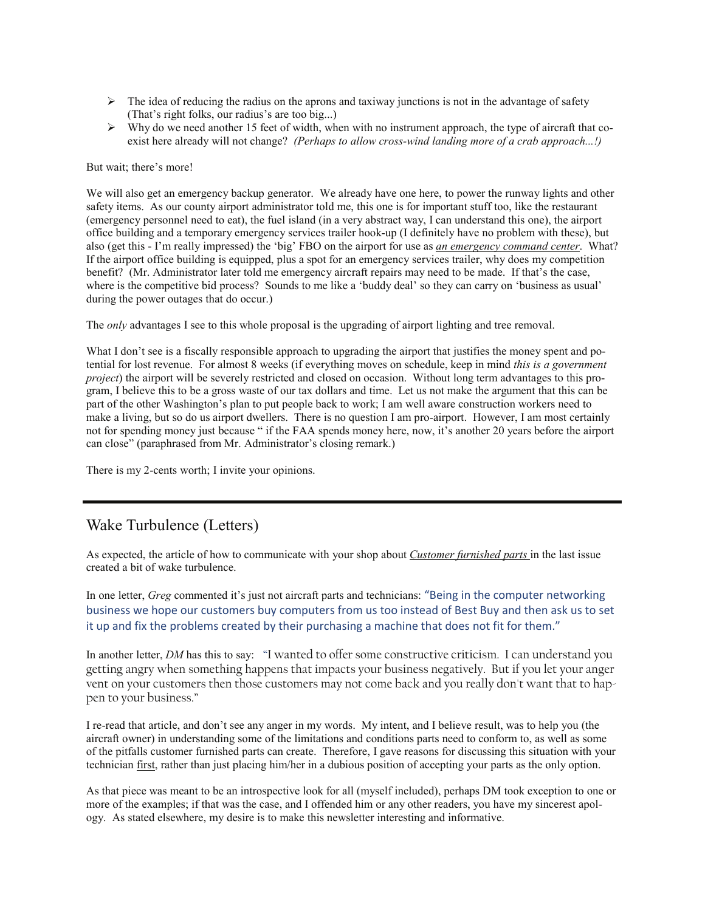- $\triangleright$  The idea of reducing the radius on the aprons and taxiway junctions is not in the advantage of safety (That's right folks, our radius's are too big...)
- $\triangleright$  Why do we need another 15 feet of width, when with no instrument approach, the type of aircraft that coexist here already will not change? *(Perhaps to allow cross-wind landing more of a crab approach...!)*

#### But wait; there's more!

We will also get an emergency backup generator. We already have one here, to power the runway lights and other safety items. As our county airport administrator told me, this one is for important stuff too, like the restaurant (emergency personnel need to eat), the fuel island (in a very abstract way, I can understand this one), the airport office building and a temporary emergency services trailer hook-up (I definitely have no problem with these), but also (get this - I'm really impressed) the 'big' FBO on the airport for use as *an emergency command center*. What? If the airport office building is equipped, plus a spot for an emergency services trailer, why does my competition benefit? (Mr. Administrator later told me emergency aircraft repairs may need to be made. If that's the case, where is the competitive bid process? Sounds to me like a 'buddy deal' so they can carry on 'business as usual' during the power outages that do occur.)

The *only* advantages I see to this whole proposal is the upgrading of airport lighting and tree removal.

What I don't see is a fiscally responsible approach to upgrading the airport that justifies the money spent and potential for lost revenue. For almost 8 weeks (if everything moves on schedule, keep in mind *this is a government project*) the airport will be severely restricted and closed on occasion. Without long term advantages to this program, I believe this to be a gross waste of our tax dollars and time. Let us not make the argument that this can be part of the other Washington's plan to put people back to work; I am well aware construction workers need to make a living, but so do us airport dwellers. There is no question I am pro-airport. However, I am most certainly not for spending money just because " if the FAA spends money here, now, it's another 20 years before the airport can close" (paraphrased from Mr. Administrator's closing remark.)

There is my 2-cents worth; I invite your opinions.

### Wake Turbulence (Letters)

As expected, the article of how to communicate with your shop about *Customer furnished parts* in the last issue created a bit of wake turbulence.

In one letter, *Greg* commented it's just not aircraft parts and technicians: "Being in the computer networking business we hope our customers buy computers from us too instead of Best Buy and then ask us to set it up and fix the problems created by their purchasing a machine that does not fit for them."

In another letter, *DM* has this to say: "I wanted to offer some constructive criticism. I can understand you getting angry when something happens that impacts your business negatively. But if you let your anger vent on your customers then those customers may not come back and you really don't want that to happen to your business."

I re-read that article, and don't see any anger in my words. My intent, and I believe result, was to help you (the aircraft owner) in understanding some of the limitations and conditions parts need to conform to, as well as some of the pitfalls customer furnished parts can create. Therefore, I gave reasons for discussing this situation with your technician first, rather than just placing him/her in a dubious position of accepting your parts as the only option.

As that piece was meant to be an introspective look for all (myself included), perhaps DM took exception to one or more of the examples; if that was the case, and I offended him or any other readers, you have my sincerest apology. As stated elsewhere, my desire is to make this newsletter interesting and informative.